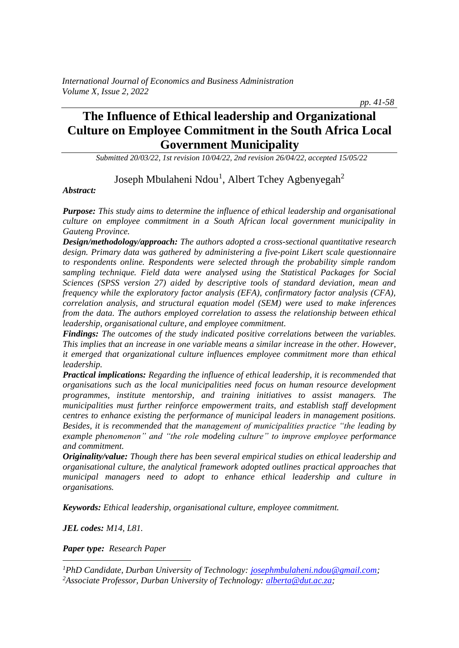# **The Influence of Ethical leadership and Organizational Culture on Employee Commitment in the South Africa Local Government Municipality**

*Submitted 20/03/22, 1st revision 10/04/22, 2nd revision 26/04/22, accepted 15/05/22*

## Joseph Mbulaheni Ndou<sup>1</sup>, Albert Tchey Agbenyegah<sup>2</sup>

*Abstract:*

*Purpose: This study aims to determine the influence of ethical leadership and organisational culture on employee commitment in a South African local government municipality in Gauteng Province.* 

*Design/methodology/approach: The authors adopted a cross-sectional quantitative research design. Primary data was gathered by administering a five-point Likert scale questionnaire to respondents online. Respondents were selected through the probability simple random sampling technique. Field data were analysed using the Statistical Packages for Social Sciences (SPSS version 27) aided by descriptive tools of standard deviation, mean and frequency while the exploratory factor analysis (EFA), confirmatory factor analysis (CFA), correlation analysis, and structural equation model (SEM) were used to make inferences from the data. The authors employed correlation to assess the relationship between ethical leadership, organisational culture, and employee commitment.*

*Findings: The outcomes of the study indicated positive correlations between the variables. This implies that an increase in one variable means a similar increase in the other. However, it emerged that organizational culture influences employee commitment more than ethical leadership.*

*Practical implications: Regarding the influence of ethical leadership, it is recommended that organisations such as the local municipalities need focus on human resource development programmes, institute mentorship, and training initiatives to assist managers. The municipalities must further reinforce empowerment traits, and establish staff development centres to enhance existing the performance of municipal leaders in management positions. Besides, it is recommended that the management of municipalities practice "the leading by example phenomenon" and "the role modeling culture" to improve employee performance and commitment.*

*Originality/value: Though there has been several empirical studies on ethical leadership and organisational culture, the analytical framework adopted outlines practical approaches that municipal managers need to adopt to enhance ethical leadership and culture in organisations.*

*Keywords: Ethical leadership, organisational culture, employee commitment.*

*JEL codes: M14, L81.*

*Paper type: Research Paper*

*<sup>1</sup>PhD Candidate, Durban University of Technology: [josephmbulaheni.ndou@gmail.com;](mailto:josephmbulaheni.ndou@gmail.com) <sup>2</sup>Associate Professor, Durban University of Technology: [alberta@dut.ac.za;](mailto:alberta@dut.ac.za)* 

 *pp. 41-58*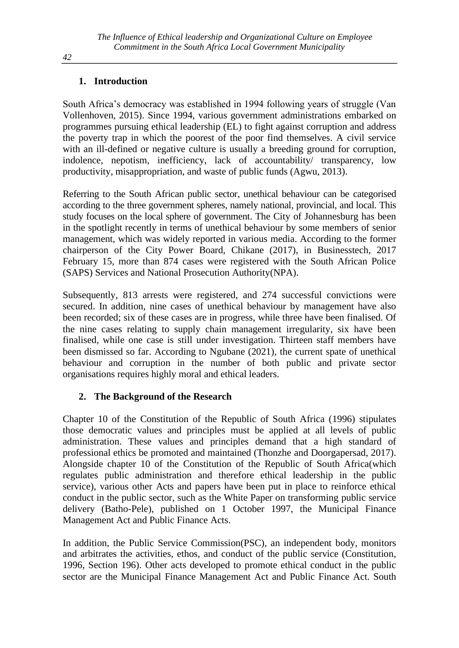## **1. Introduction**

South Africa's democracy was established in 1994 following years of struggle (Van Vollenhoven, 2015). Since 1994, various government administrations embarked on programmes pursuing ethical leadership (EL) to fight against corruption and address the poverty trap in which the poorest of the poor find themselves. A civil service with an ill-defined or negative culture is usually a breeding ground for corruption, indolence, nepotism, inefficiency, lack of accountability/ transparency, low productivity, misappropriation, and waste of public funds (Agwu, 2013).

Referring to the South African public sector, unethical behaviour can be categorised according to the three government spheres, namely national, provincial, and local. This study focuses on the local sphere of government. The City of Johannesburg has been in the spotlight recently in terms of unethical behaviour by some members of senior management, which was widely reported in various media. According to the former chairperson of the City Power Board, Chikane (2017), in Businesstech, 2017 February 15, more than 874 cases were registered with the South African Police (SAPS) Services and National Prosecution Authority(NPA).

Subsequently, 813 arrests were registered, and 274 successful convictions were secured. In addition, nine cases of unethical behaviour by management have also been recorded; six of these cases are in progress, while three have been finalised. Of the nine cases relating to supply chain management irregularity, six have been finalised, while one case is still under investigation. Thirteen staff members have been dismissed so far. According to Ngubane (2021), the current spate of unethical behaviour and corruption in the number of both public and private sector organisations requires highly moral and ethical leaders.

## **2. The Background of the Research**

Chapter 10 of the Constitution of the Republic of South Africa (1996) stipulates those democratic values and principles must be applied at all levels of public administration. These values and principles demand that a high standard of professional ethics be promoted and maintained (Thonzhe and Doorgapersad, 2017). Alongside chapter 10 of the Constitution of the Republic of South Africa(which regulates public administration and therefore ethical leadership in the public service), various other Acts and papers have been put in place to reinforce ethical conduct in the public sector, such as the White Paper on transforming public service delivery (Batho-Pele), published on 1 October 1997, the Municipal Finance Management Act and Public Finance Acts.

In addition, the Public Service Commission(PSC), an independent body, monitors and arbitrates the activities, ethos, and conduct of the public service (Constitution, 1996, Section 196). Other acts developed to promote ethical conduct in the public sector are the Municipal Finance Management Act and Public Finance Act. South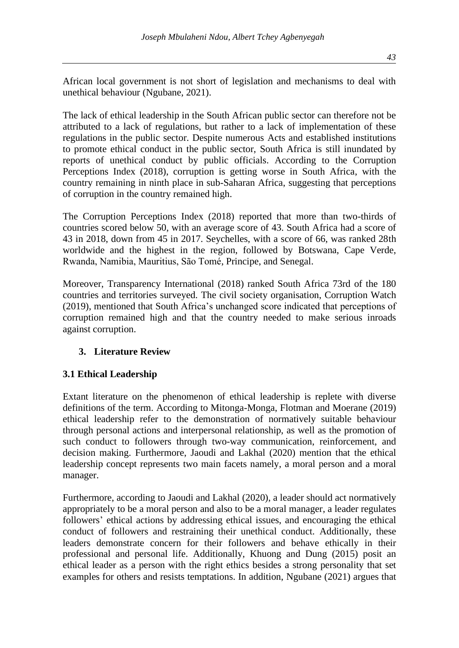African local government is not short of legislation and mechanisms to deal with unethical behaviour (Ngubane, 2021).

The lack of ethical leadership in the South African public sector can therefore not be attributed to a lack of regulations, but rather to a lack of implementation of these regulations in the public sector. Despite numerous Acts and established institutions to promote ethical conduct in the public sector, South Africa is still inundated by reports of unethical conduct by public officials. According to the Corruption Perceptions Index (2018), corruption is getting worse in South Africa, with the country remaining in ninth place in sub-Saharan Africa, suggesting that perceptions of corruption in the country remained high.

The Corruption Perceptions Index (2018) reported that more than two-thirds of countries scored below 50, with an average score of 43. South Africa had a score of 43 in 2018, down from 45 in 2017. Seychelles, with a score of 66, was ranked 28th worldwide and the highest in the region, followed by Botswana, Cape Verde, Rwanda, Namibia, Mauritius, São Tomé, Principe, and Senegal.

Moreover, Transparency International (2018) ranked South Africa 73rd of the 180 countries and territories surveyed. The civil society organisation, Corruption Watch (2019), mentioned that South Africa's unchanged score indicated that perceptions of corruption remained high and that the country needed to make serious inroads against corruption.

### **3. Literature Review**

## **3.1 Ethical Leadership**

Extant literature on the phenomenon of ethical leadership is replete with diverse definitions of the term. According to Mitonga-Monga, Flotman and Moerane (2019) ethical leadership refer to the demonstration of normatively suitable behaviour through personal actions and interpersonal relationship, as well as the promotion of such conduct to followers through two-way communication, reinforcement, and decision making. Furthermore, Jaoudi and Lakhal (2020) mention that the ethical leadership concept represents two main facets namely, a moral person and a moral manager.

Furthermore, according to Jaoudi and Lakhal (2020), a leader should act normatively appropriately to be a moral person and also to be a moral manager, a leader regulates followers' ethical actions by addressing ethical issues, and encouraging the ethical conduct of followers and restraining their unethical conduct. Additionally, these leaders demonstrate concern for their followers and behave ethically in their professional and personal life. Additionally, Khuong and Dung (2015) posit an ethical leader as a person with the right ethics besides a strong personality that set examples for others and resists temptations. In addition, Ngubane (2021) argues that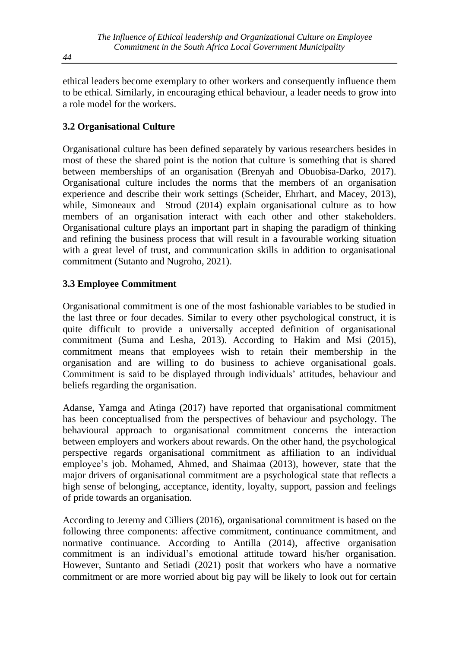ethical leaders become exemplary to other workers and consequently influence them to be ethical. Similarly, in encouraging ethical behaviour, a leader needs to grow into a role model for the workers.

### **3.2 Organisational Culture**

Organisational culture has been defined separately by various researchers besides in most of these the shared point is the notion that culture is something that is shared between memberships of an organisation (Brenyah and Obuobisa-Darko, 2017). Organisational culture includes the norms that the members of an organisation experience and describe their work settings (Scheider, Ehrhart, and Macey, 2013), while, Simoneaux and Stroud (2014) explain organisational culture as to how members of an organisation interact with each other and other stakeholders. Organisational culture plays an important part in shaping the paradigm of thinking and refining the business process that will result in a favourable working situation with a great level of trust, and communication skills in addition to organisational commitment (Sutanto and Nugroho, 2021).

### **3.3 Employee Commitment**

Organisational commitment is one of the most fashionable variables to be studied in the last three or four decades. Similar to every other psychological construct, it is quite difficult to provide a universally accepted definition of organisational commitment (Suma and Lesha, 2013). According to Hakim and Msi (2015), commitment means that employees wish to retain their membership in the organisation and are willing to do business to achieve organisational goals. Commitment is said to be displayed through individuals' attitudes, behaviour and beliefs regarding the organisation.

Adanse, Yamga and Atinga (2017) have reported that organisational commitment has been conceptualised from the perspectives of behaviour and psychology. The behavioural approach to organisational commitment concerns the interaction between employers and workers about rewards. On the other hand, the psychological perspective regards organisational commitment as affiliation to an individual employee's job. Mohamed, Ahmed, and Shaimaa (2013), however, state that the major drivers of organisational commitment are a psychological state that reflects a high sense of belonging, acceptance, identity, loyalty, support, passion and feelings of pride towards an organisation.

According to Jeremy and Cilliers (2016), organisational commitment is based on the following three components: affective commitment, continuance commitment, and normative continuance. According to Antilla (2014), affective organisation commitment is an individual's emotional attitude toward his/her organisation. However, Suntanto and Setiadi (2021) posit that workers who have a normative commitment or are more worried about big pay will be likely to look out for certain

*44*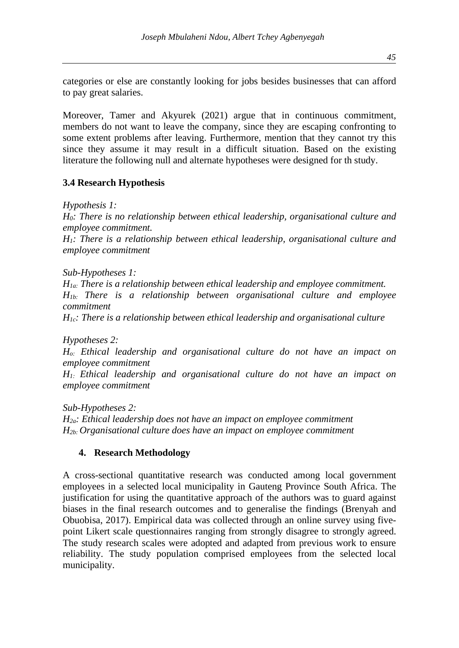categories or else are constantly looking for jobs besides businesses that can afford to pay great salaries.

Moreover, Tamer and Akyurek (2021) argue that in continuous commitment, members do not want to leave the company, since they are escaping confronting to some extent problems after leaving. Furthermore, mention that they cannot try this since they assume it may result in a difficult situation. Based on the existing literature the following null and alternate hypotheses were designed for th study.

#### **3.4 Research Hypothesis**

*Hypothesis 1:*

*H0: There is no relationship between ethical leadership, organisational culture and employee commitment.* 

*H1: There is a relationship between ethical leadership, organisational culture and employee commitment*

*Sub-Hypotheses 1:*

*H1a: There is a relationship between ethical leadership and employee commitment. H1b: There is a relationship between organisational culture and employee commitment*

*H1c: There is a relationship between ethical leadership and organisational culture*

*Hypotheses 2: Ho: Ethical leadership and organisational culture do not have an impact on employee commitment H1: Ethical leadership and organisational culture do not have an impact on employee commitment*

*Sub-Hypotheses 2: H2a: Ethical leadership does not have an impact on employee commitment H2b: Organisational culture does have an impact on employee commitment*

#### **4. Research Methodology**

A cross-sectional quantitative research was conducted among local government employees in a selected local municipality in Gauteng Province South Africa. The justification for using the quantitative approach of the authors was to guard against biases in the final research outcomes and to generalise the findings (Brenyah and Obuobisa, 2017). Empirical data was collected through an online survey using fivepoint Likert scale questionnaires ranging from strongly disagree to strongly agreed. The study research scales were adopted and adapted from previous work to ensure reliability. The study population comprised employees from the selected local municipality.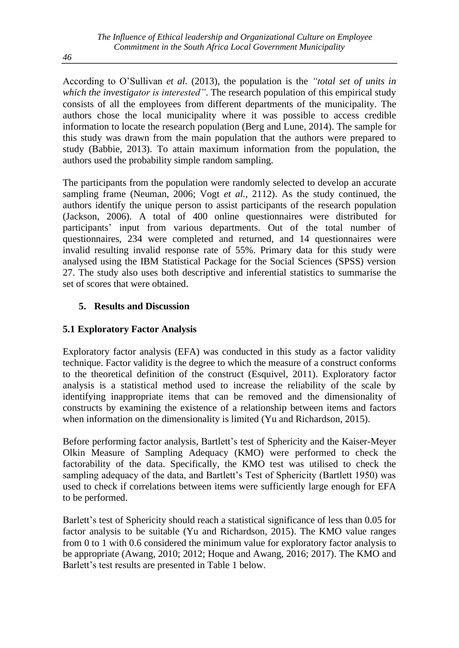According to O'Sullivan *et al.* (2013), the population is the *"total set of units in which the investigator is interested"*. The research population of this empirical study consists of all the employees from different departments of the municipality. The authors chose the local municipality where it was possible to access credible information to locate the research population (Berg and Lune, 2014). The sample for this study was drawn from the main population that the authors were prepared to study (Babbie, 2013). To attain maximum information from the population, the authors used the probability simple random sampling.

The participants from the population were randomly selected to develop an accurate sampling frame (Neuman, 2006; Vogt *et al.,* 2112). As the study continued, the authors identify the unique person to assist participants of the research population (Jackson, 2006). A total of 400 online questionnaires were distributed for participants' input from various departments. Out of the total number of questionnaires, 234 were completed and returned, and 14 questionnaires were invalid resulting invalid response rate of 55%. Primary data for this study were analysed using the IBM Statistical Package for the Social Sciences (SPSS) version 27. The study also uses both descriptive and inferential statistics to summarise the set of scores that were obtained.

### **5. Results and Discussion**

## **5.1 Exploratory Factor Analysis**

Exploratory factor analysis (EFA) was conducted in this study as a factor validity technique. Factor validity is the degree to which the measure of a construct conforms to the theoretical definition of the construct (Esquivel, 2011). Exploratory factor analysis is a statistical method used to increase the reliability of the scale by identifying inappropriate items that can be removed and the dimensionality of constructs by examining the existence of a relationship between items and factors when information on the dimensionality is limited (Yu and Richardson, 2015).

Before performing factor analysis, Bartlett's test of Sphericity and the Kaiser-Meyer Olkin Measure of Sampling Adequacy (KMO) were performed to check the factorability of the data. Specifically, the KMO test was utilised to check the sampling adequacy of the data, and Bartlett's Test of Sphericity (Bartlett 1950) was used to check if correlations between items were sufficiently large enough for EFA to be performed.

Barlett's test of Sphericity should reach a statistical significance of less than 0.05 for factor analysis to be suitable (Yu and Richardson, 2015). The KMO value ranges from 0 to 1 with 0.6 considered the minimum value for exploratory factor analysis to be appropriate (Awang, 2010; 2012; Hoque and Awang, 2016; 2017). The KMO and Barlett's test results are presented in Table 1 below.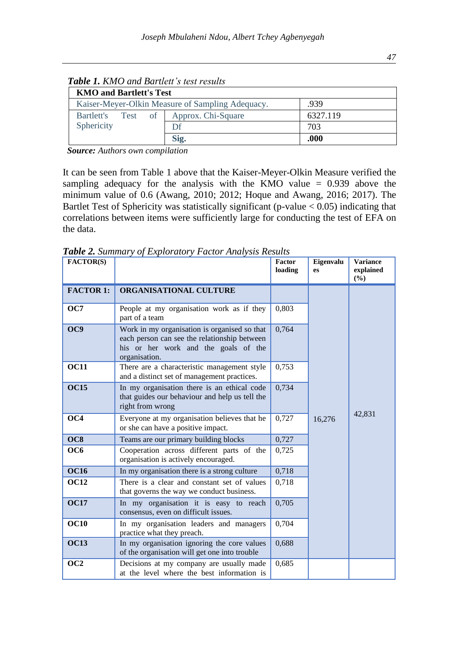| <b>KMO and Bartlett's Test</b>                           |                    |          |  |  |
|----------------------------------------------------------|--------------------|----------|--|--|
| .939<br>Kaiser-Meyer-Olkin Measure of Sampling Adequacy. |                    |          |  |  |
| $of \square$<br>Bartlett's<br>Test                       | Approx. Chi-Square | 6327.119 |  |  |
| Sphericity                                               |                    | 703      |  |  |
|                                                          | Sig.               | .000     |  |  |

 *Table 1. KMO and Bartlett's test results*

 *Source: Authors own compilation*

It can be seen from Table 1 above that the Kaiser-Meyer-Olkin Measure verified the sampling adequacy for the analysis with the KMO value  $= 0.939$  above the minimum value of 0.6 (Awang, 2010; 2012; Hoque and Awang, 2016; 2017). The Bartlet Test of Sphericity was statistically significant (p-value  $< 0.05$ ) indicating that correlations between items were sufficiently large for conducting the test of EFA on the data.

| FACTOR(S)        |                                                                                                                                                       | Factor<br>loading | Eigenvalu<br>es | <b>Variance</b><br>explained<br>(%) |
|------------------|-------------------------------------------------------------------------------------------------------------------------------------------------------|-------------------|-----------------|-------------------------------------|
| <b>FACTOR 1:</b> | <b>ORGANISATIONAL CULTURE</b>                                                                                                                         |                   |                 |                                     |
| OC7              | People at my organisation work as if they<br>part of a team                                                                                           | 0,803             |                 |                                     |
| OC9              | Work in my organisation is organised so that<br>each person can see the relationship between<br>his or her work and the goals of the<br>organisation. | 0,764             |                 |                                     |
| <b>OC11</b>      | There are a characteristic management style<br>and a distinct set of management practices.                                                            | 0,753             |                 |                                     |
| <b>OC15</b>      | In my organisation there is an ethical code<br>that guides our behaviour and help us tell the<br>right from wrong                                     | 0,734             |                 |                                     |
| $\overline{OC4}$ | Everyone at my organisation believes that he<br>or she can have a positive impact.                                                                    | 0,727             | 16,276          | 42,831                              |
| OC8              | Teams are our primary building blocks                                                                                                                 | 0,727             |                 |                                     |
| OC <sub>6</sub>  | Cooperation across different parts of the<br>0,725<br>organisation is actively encouraged.                                                            |                   |                 |                                     |
| <b>OC16</b>      | In my organisation there is a strong culture                                                                                                          | 0,718             |                 |                                     |
| <b>OC12</b>      | There is a clear and constant set of values<br>that governs the way we conduct business.                                                              | 0,718             |                 |                                     |
| <b>OC17</b>      | In my organisation it is easy to reach<br>consensus, even on difficult issues.                                                                        | 0,705             |                 |                                     |
| <b>OC10</b>      | In my organisation leaders and managers<br>practice what they preach.                                                                                 | 0,704             |                 |                                     |
| <b>OC13</b>      | In my organisation ignoring the core values<br>of the organisation will get one into trouble                                                          | 0,688             |                 |                                     |
| OC2              | Decisions at my company are usually made<br>at the level where the best information is                                                                | 0,685             |                 |                                     |

*Table 2. Summary of Exploratory Factor Analysis Results*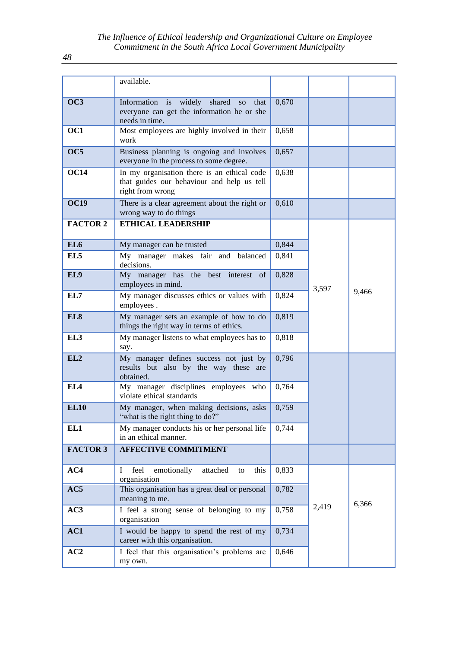|                 | available.                                                                                                    |       |       |       |
|-----------------|---------------------------------------------------------------------------------------------------------------|-------|-------|-------|
| OC3             | Information is widely shared so that<br>everyone can get the information he or she<br>needs in time.          | 0,670 |       |       |
| OC1             | Most employees are highly involved in their<br>work                                                           | 0,658 |       |       |
| OC5             | Business planning is ongoing and involves<br>everyone in the process to some degree.                          | 0,657 |       |       |
| <b>OC14</b>     | In my organisation there is an ethical code<br>that guides our behaviour and help us tell<br>right from wrong | 0,638 |       |       |
| <b>OC19</b>     | There is a clear agreement about the right or<br>wrong way to do things                                       | 0,610 |       |       |
| <b>FACTOR 2</b> | <b>ETHICAL LEADERSHIP</b>                                                                                     |       |       |       |
| EL <sub>6</sub> | My manager can be trusted                                                                                     | 0,844 |       |       |
| EL <sub>5</sub> | My manager makes fair and balanced<br>decisions.                                                              | 0,841 |       |       |
| EL9             | My manager has the best interest<br>of<br>employees in mind.                                                  | 0,828 | 3,597 | 9,466 |
| EL7             | My manager discusses ethics or values with<br>employees.                                                      | 0,824 |       |       |
| EL <sub>8</sub> | My manager sets an example of how to do<br>things the right way in terms of ethics.                           | 0,819 |       |       |
| EL <sub>3</sub> | My manager listens to what employees has to<br>say.                                                           | 0,818 |       |       |
| EL2             | My manager defines success not just by<br>results but also by the way these are<br>obtained.                  | 0,796 |       |       |
| EL <sub>4</sub> | My manager disciplines employees who<br>violate ethical standards                                             | 0,764 |       |       |
| <b>EL10</b>     | My manager, when making decisions, asks<br>"what is the right thing to do?"                                   | 0,759 |       |       |
| EL1             | My manager conducts his or her personal life<br>in an ethical manner.                                         | 0,744 |       |       |
| <b>FACTOR 3</b> | <b>AFFECTIVE COMMITMENT</b>                                                                                   |       |       |       |
| AC4             | emotionally<br>Ι<br>feel<br>attached<br>this<br>to<br>organisation                                            | 0,833 |       |       |
| AC5             | This organisation has a great deal or personal<br>meaning to me.                                              | 0,782 |       | 6,366 |
| AC3             | I feel a strong sense of belonging to my<br>organisation                                                      | 0,758 | 2,419 |       |
| AC1             | I would be happy to spend the rest of my<br>career with this organisation.                                    | 0,734 |       |       |
| AC2             | I feel that this organisation's problems are<br>my own.                                                       | 0,646 |       |       |

*48*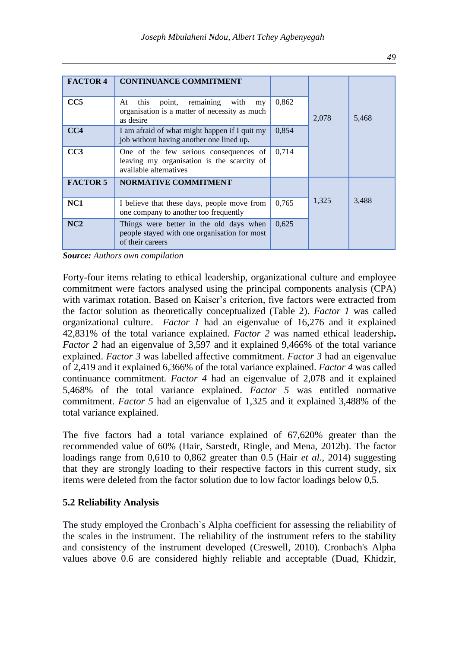| <b>FACTOR 4</b> | <b>CONTINUANCE COMMITMENT</b>                                                                                  |       |       |       |
|-----------------|----------------------------------------------------------------------------------------------------------------|-------|-------|-------|
| CC5             | point, remaining with<br>this<br>At<br>my<br>organisation is a matter of necessity as much<br>as desire        | 0,862 | 2,078 | 5,468 |
| CC4             | I am afraid of what might happen if I quit my<br>job without having another one lined up.                      | 0.854 |       |       |
| CC3             | One of the few serious consequences of<br>leaving my organisation is the scarcity of<br>available alternatives | 0.714 |       |       |
| <b>FACTOR 5</b> | <b>NORMATIVE COMMITMENT</b>                                                                                    |       |       |       |
| NC <sub>1</sub> | I believe that these days, people move from<br>one company to another too frequently                           | 0.765 | 1,325 | 3,488 |
| NC2             | Things were better in the old days when<br>people stayed with one organisation for most<br>of their careers    | 0.625 |       |       |

*Source: Authors own compilation*

Forty-four items relating to ethical leadership, organizational culture and employee commitment were factors analysed using the principal components analysis (CPA) with varimax rotation. Based on Kaiser's criterion, five factors were extracted from the factor solution as theoretically conceptualized (Table 2). *Factor 1* was called organizational culture. *Factor 1* had an eigenvalue of 16,276 and it explained 42,831% of the total variance explained. *Factor 2* was named ethical leadership**.**  *Factor 2* had an eigenvalue of 3,597 and it explained 9,466% of the total variance explained. *Factor 3* was labelled affective commitment. *Factor 3* had an eigenvalue of 2,419 and it explained 6,366% of the total variance explained. *Factor 4* was called continuance commitment. *Factor 4* had an eigenvalue of 2,078 and it explained 5,468% of the total variance explained. *Factor 5* was entitled normative commitment. *Factor 5* had an eigenvalue of 1,325 and it explained 3,488% of the total variance explained.

The five factors had a total variance explained of 67,620% greater than the recommended value of 60% (Hair, Sarstedt, Ringle, and Mena, 2012b). The factor loadings range from 0,610 to 0,862 greater than 0.5 (Hair *et al.,* 2014) suggesting that they are strongly loading to their respective factors in this current study, six items were deleted from the factor solution due to low factor loadings below 0,5.

### **5.2 Reliability Analysis**

The study employed the Cronbach`s Alpha coefficient for assessing the reliability of the scales in the instrument. The reliability of the instrument refers to the stability and consistency of the instrument developed (Creswell, 2010). Cronbach's Alpha values above 0.6 are considered highly reliable and acceptable (Duad, Khidzir,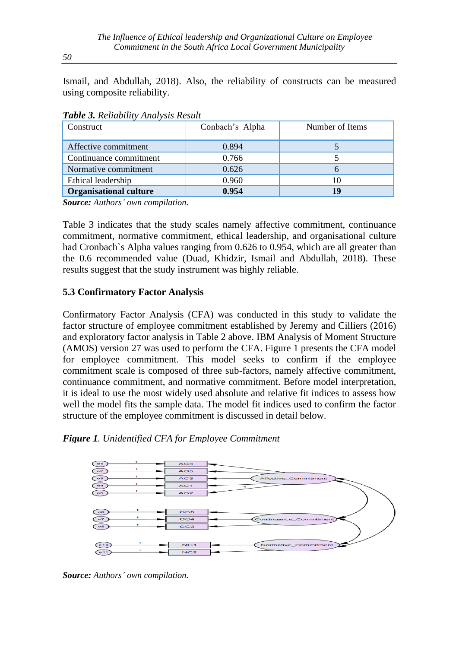Ismail, and Abdullah, 2018). Also, the reliability of constructs can be measured using composite reliability.

| Construct                     | Conbach's Alpha | Number of Items |
|-------------------------------|-----------------|-----------------|
| Affective commitment          | 0.894           |                 |
| Continuance commitment        | 0.766           |                 |
| Normative commitment          | 0.626           |                 |
| Ethical leadership            | 0.960           |                 |
| <b>Organisational culture</b> | 0.954           | 19              |

*Table 3. Reliability Analysis Result*

*Source: Authors' own compilation.*

Table 3 indicates that the study scales namely affective commitment, continuance commitment, normative commitment, ethical leadership, and organisational culture had Cronbach`s Alpha values ranging from 0.626 to 0.954, which are all greater than the 0.6 recommended value (Duad, Khidzir, Ismail and Abdullah, 2018). These results suggest that the study instrument was highly reliable.

#### **5.3 Confirmatory Factor Analysis**

Confirmatory Factor Analysis (CFA) was conducted in this study to validate the factor structure of employee commitment established by Jeremy and Cilliers (2016) and exploratory factor analysis in Table 2 above. IBM Analysis of Moment Structure (AMOS) version 27 was used to perform the CFA. Figure 1 presents the CFA model for employee commitment. This model seeks to confirm if the employee commitment scale is composed of three sub-factors, namely affective commitment, continuance commitment, and normative commitment. Before model interpretation, it is ideal to use the most widely used absolute and relative fit indices to assess how well the model fits the sample data. The model fit indices used to confirm the factor structure of the employee commitment is discussed in detail below.





*Source: Authors' own compilation.*

*50*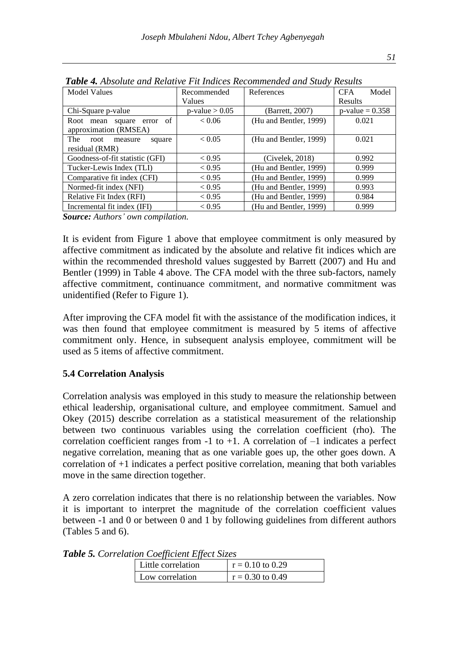| <b>Model Values</b>                     | Recommended         | References             | <b>CFA</b><br>Model |
|-----------------------------------------|---------------------|------------------------|---------------------|
|                                         | Values              |                        | Results             |
| Chi-Square p-value                      | $p$ -value $> 0.05$ | (Barrett, 2007)        | $p$ -value = 0.358  |
| of<br>Root mean square error            | < 0.06              | (Hu and Bentler, 1999) | 0.021               |
| approximation (RMSEA)                   |                     |                        |                     |
| <b>The</b><br>root<br>measure<br>square | < 0.05              | (Hu and Bentler, 1999) | 0.021               |
| residual (RMR)                          |                     |                        |                     |
| Goodness-of-fit statistic (GFI)         | < 0.95              | (Civelek, 2018)        | 0.992               |
| Tucker-Lewis Index (TLI)                | < 0.95              | (Hu and Bentler, 1999) | 0.999               |
| Comparative fit index (CFI)             | < 0.95              | (Hu and Bentler, 1999) | 0.999               |
| Normed-fit index (NFI)                  | < 0.95              | (Hu and Bentler, 1999) | 0.993               |
| Relative Fit Index (RFI)                | < 0.95              | (Hu and Bentler, 1999) | 0.984               |
| Incremental fit index (IFI)             | < 0.95              | (Hu and Bentler, 1999) | 0.999               |

*Table 4. Absolute and Relative Fit Indices Recommended and Study Results*

*Source: Authors' own compilation.*

It is evident from Figure 1 above that employee commitment is only measured by affective commitment as indicated by the absolute and relative fit indices which are within the recommended threshold values suggested by Barrett (2007) and Hu and Bentler (1999) in Table 4 above. The CFA model with the three sub-factors, namely affective commitment, continuance commitment, and normative commitment was unidentified (Refer to Figure 1).

After improving the CFA model fit with the assistance of the modification indices, it was then found that employee commitment is measured by 5 items of affective commitment only. Hence, in subsequent analysis employee, commitment will be used as 5 items of affective commitment.

### **5.4 Correlation Analysis**

Correlation analysis was employed in this study to measure the relationship between ethical leadership, organisational culture, and employee commitment. Samuel and Okey (2015) describe correlation as a statistical measurement of the relationship between two continuous variables using the correlation coefficient (rho). The correlation coefficient ranges from  $-1$  to  $+1$ . A correlation of  $-1$  indicates a perfect negative correlation, meaning that as one variable goes up, the other goes down. A correlation of +1 indicates a perfect positive correlation, meaning that both variables move in the same direction together.

A zero correlation indicates that there is no relationship between the variables. Now it is important to interpret the magnitude of the correlation coefficient values between -1 and 0 or between 0 and 1 by following guidelines from different authors (Tables 5 and 6).

| Little correlation | $r = 0.10$ to 0.29 |
|--------------------|--------------------|
| Low correlation    | $r = 0.30$ to 0.49 |

*Table 5. Correlation Coefficient Effect Sizes*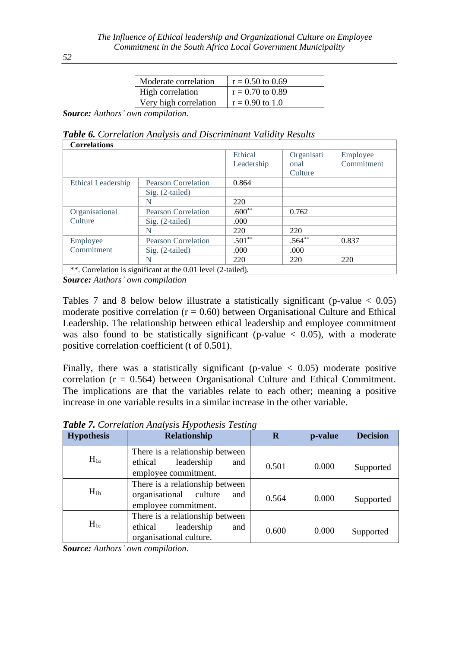| Moderate correlation  | $r = 0.50$ to 0.69 |
|-----------------------|--------------------|
| High correlation      | $r = 0.70$ to 0.89 |
| Very high correlation | $r = 0.90$ to 1.0  |

*Source: Authors' own compilation.*

*Table 6. Correlation Analysis and Discriminant Validity Results* **Correlations**

| Correlations       |                                                               |            |            |            |
|--------------------|---------------------------------------------------------------|------------|------------|------------|
|                    |                                                               | Ethical    | Organisati | Employee   |
|                    |                                                               | Leadership | onal       | Commitment |
|                    |                                                               |            | Culture    |            |
| Ethical Leadership | <b>Pearson Correlation</b>                                    | 0.864      |            |            |
|                    | $Sig. (2-tailed)$                                             |            |            |            |
|                    | N                                                             | 220        |            |            |
| Organisational     | <b>Pearson Correlation</b>                                    | $.600**$   | 0.762      |            |
| Culture            | $Sig. (2-tailed)$                                             | .000       |            |            |
|                    | N                                                             | 220        | 220        |            |
| Employee           | <b>Pearson Correlation</b>                                    | $.501**$   | $.564**$   | 0.837      |
| Commitment         | $Sig. (2-tailed)$                                             | .000       | .000       |            |
|                    | N                                                             | 220        | 220        | 220        |
|                    | ** Correlation is significant at the 0.01 level $(2$ -tailed) |            |            |            |

 $\sigma$ . Significant at the 0.01 level (2-tailed). *Source: Authors' own compilation*

Tables 7 and 8 below below illustrate a statistically significant (p-value  $< 0.05$ ) moderate positive correlation ( $r = 0.60$ ) between Organisational Culture and Ethical Leadership. The relationship between ethical leadership and employee commitment was also found to be statistically significant (p-value  $\lt$  0.05), with a moderate positive correlation coefficient (t of 0.501).

Finally, there was a statistically significant (p-value  $\langle 0.05 \rangle$ ) moderate positive correlation  $(r = 0.564)$  between Organisational Culture and Ethical Commitment. The implications are that the variables relate to each other; meaning a positive increase in one variable results in a similar increase in the other variable.

| <b>Hypothesis</b> | Relationship                                                                               | $\bf R$ | p-value | <b>Decision</b> |
|-------------------|--------------------------------------------------------------------------------------------|---------|---------|-----------------|
| $H_{1a}$          | There is a relationship between<br>leadership<br>ethical<br>and<br>employee commitment.    | 0.501   | 0.000   | Supported       |
| $H_{1b}$          | There is a relationship between<br>organisational culture<br>and<br>employee commitment.   | 0.564   | 0.000   | Supported       |
| $H_{1c}$          | There is a relationship between<br>ethical<br>leadership<br>and<br>organisational culture. | 0.600   | 0.000   | Supported       |

*Table 7. Correlation Analysis Hypothesis Testing*

*Source: Authors' own compilation.*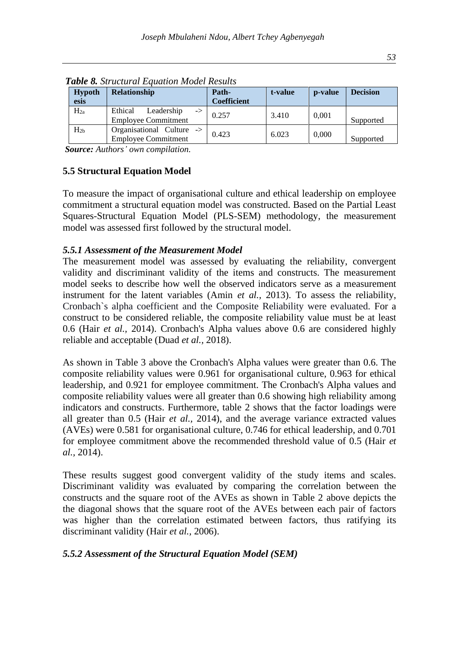| <b>Hypoth</b><br>esis | <b>Relationship</b>                                       | Path-<br><b>Coefficient</b> | t-value | p-value | <b>Decision</b> |
|-----------------------|-----------------------------------------------------------|-----------------------------|---------|---------|-----------------|
| $H_{2a}$              | Ethical<br>Leadership<br>-><br><b>Employee Commitment</b> | 0.257                       | 3.410   | 0,001   | Supported       |
| $H_{2h}$              | Organisational Culture -><br><b>Employee Commitment</b>   | 0.423                       | 6.023   | 0,000   | Supported       |

*Table 8. Structural Equation Model Results*

*Source: Authors' own compilation.*

#### **5.5 Structural Equation Model**

To measure the impact of organisational culture and ethical leadership on employee commitment a structural equation model was constructed. Based on the Partial Least Squares-Structural Equation Model (PLS-SEM) methodology, the measurement model was assessed first followed by the structural model.

#### *5.5.1 Assessment of the Measurement Model*

The measurement model was assessed by evaluating the reliability, convergent validity and discriminant validity of the items and constructs. The measurement model seeks to describe how well the observed indicators serve as a measurement instrument for the latent variables (Amin *et al.,* 2013). To assess the reliability, Cronbach`s alpha coefficient and the Composite Reliability were evaluated. For a construct to be considered reliable, the composite reliability value must be at least 0.6 (Hair *et al.,* 2014). Cronbach's Alpha values above 0.6 are considered highly reliable and acceptable (Duad *et al.,* 2018).

As shown in Table 3 above the Cronbach's Alpha values were greater than 0.6. The composite reliability values were 0.961 for organisational culture, 0.963 for ethical leadership, and 0.921 for employee commitment. The Cronbach's Alpha values and composite reliability values were all greater than 0.6 showing high reliability among indicators and constructs. Furthermore, table 2 shows that the factor loadings were all greater than 0.5 (Hair *et al.,* 2014), and the average variance extracted values (AVEs) were 0.581 for organisational culture, 0.746 for ethical leadership, and 0.701 for employee commitment above the recommended threshold value of 0.5 (Hair *et al.,* 2014).

These results suggest good convergent validity of the study items and scales. Discriminant validity was evaluated by comparing the correlation between the constructs and the square root of the AVEs as shown in Table 2 above depicts the the diagonal shows that the square root of the AVEs between each pair of factors was higher than the correlation estimated between factors, thus ratifying its discriminant validity (Hair *et al.,* 2006).

#### *5.5.2 Assessment of the Structural Equation Model (SEM)*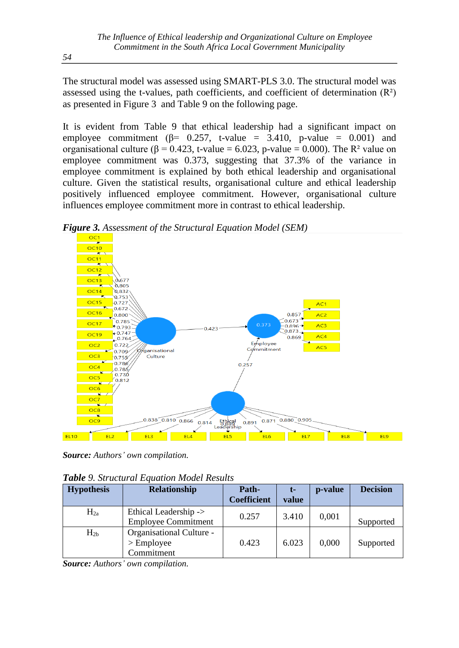The structural model was assessed using SMART-PLS 3.0. The structural model was assessed using the t-values, path coefficients, and coefficient of determination  $(R<sup>2</sup>)$ as presented in Figure 3 and Table 9 on the following page.

It is evident from Table 9 that ethical leadership had a significant impact on employee commitment ( $\beta$ = 0.257, t-value = 3.410, p-value = 0.001) and organisational culture ( $\beta = 0.423$ , t-value = 6.023, p-value = 0.000). The R<sup>2</sup> value on employee commitment was 0.373, suggesting that 37.3% of the variance in employee commitment is explained by both ethical leadership and organisational culture. Given the statistical results, organisational culture and ethical leadership positively influenced employee commitment. However, organisational culture influences employee commitment more in contrast to ethical leadership.

*Figure 3. Assessment of the Structural Equation Model (SEM)*



*Source: Authors' own compilation.*

|  | Table 9. Structural Equation Model Results |  |  |  |
|--|--------------------------------------------|--|--|--|
|--|--------------------------------------------|--|--|--|

| <b>Hypothesis</b> | Relationship                                           | Path-<br><b>Coefficient</b> | t-<br>value | p-value | <b>Decision</b> |
|-------------------|--------------------------------------------------------|-----------------------------|-------------|---------|-----------------|
| $H_{2a}$          | Ethical Leadership -><br><b>Employee Commitment</b>    | 0.257                       | 3.410       | 0,001   | Supported       |
| $H_{2h}$          | Organisational Culture -<br>$>$ Employee<br>Commitment | 0.423                       | 6.023       | 0,000   | Supported       |

*Source: Authors' own compilation.*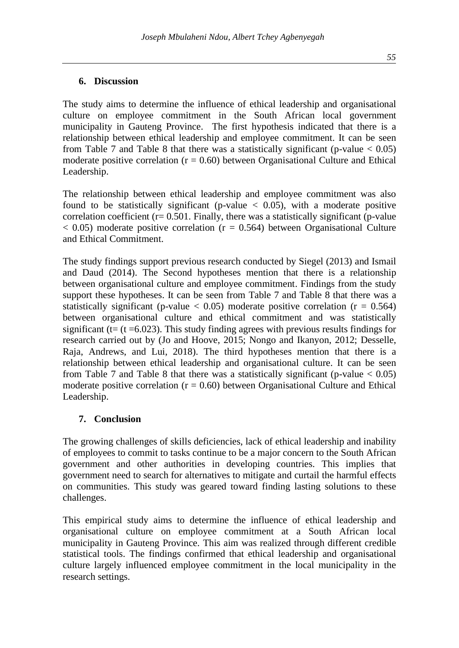The study aims to determine the influence of ethical leadership and organisational culture on employee commitment in the South African local government municipality in Gauteng Province. The first hypothesis indicated that there is a relationship between ethical leadership and employee commitment. It can be seen from Table 7 and Table 8 that there was a statistically significant (p-value  $< 0.05$ ) moderate positive correlation ( $r = 0.60$ ) between Organisational Culture and Ethical Leadership.

The relationship between ethical leadership and employee commitment was also found to be statistically significant (p-value  $\lt$  0.05), with a moderate positive correlation coefficient  $(r= 0.501$ . Finally, there was a statistically significant (p-value  $< 0.05$ ) moderate positive correlation ( $r = 0.564$ ) between Organisational Culture and Ethical Commitment.

The study findings support previous research conducted by Siegel (2013) and Ismail and Daud (2014). The Second hypotheses mention that there is a relationship between organisational culture and employee commitment. Findings from the study support these hypotheses. It can be seen from Table 7 and Table 8 that there was a statistically significant (p-value  $< 0.05$ ) moderate positive correlation ( $r = 0.564$ ) between organisational culture and ethical commitment and was statistically significant ( $t = (t = 6.023)$ . This study finding agrees with previous results findings for research carried out by (Jo and Hoove, 2015; Nongo and Ikanyon, 2012; Desselle, Raja, Andrews, and Lui, 2018). The third hypotheses mention that there is a relationship between ethical leadership and organisational culture. It can be seen from Table 7 and Table 8 that there was a statistically significant (p-value  $< 0.05$ ) moderate positive correlation ( $r = 0.60$ ) between Organisational Culture and Ethical Leadership.

#### **7. Conclusion**

The growing challenges of skills deficiencies, lack of ethical leadership and inability of employees to commit to tasks continue to be a major concern to the South African government and other authorities in developing countries. This implies that government need to search for alternatives to mitigate and curtail the harmful effects on communities. This study was geared toward finding lasting solutions to these challenges.

This empirical study aims to determine the influence of ethical leadership and organisational culture on employee commitment at a South African local municipality in Gauteng Province. This aim was realized through different credible statistical tools. The findings confirmed that ethical leadership and organisational culture largely influenced employee commitment in the local municipality in the research settings.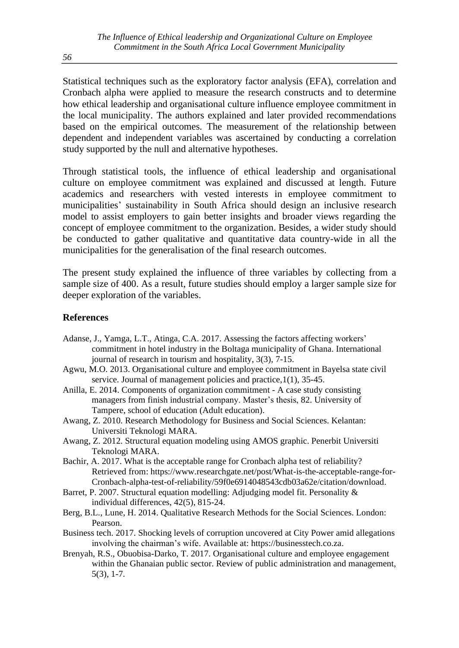Statistical techniques such as the exploratory factor analysis (EFA), correlation and Cronbach alpha were applied to measure the research constructs and to determine how ethical leadership and organisational culture influence employee commitment in the local municipality. The authors explained and later provided recommendations based on the empirical outcomes. The measurement of the relationship between dependent and independent variables was ascertained by conducting a correlation study supported by the null and alternative hypotheses.

Through statistical tools, the influence of ethical leadership and organisational culture on employee commitment was explained and discussed at length. Future academics and researchers with vested interests in employee commitment to municipalities' sustainability in South Africa should design an inclusive research model to assist employers to gain better insights and broader views regarding the concept of employee commitment to the organization. Besides, a wider study should be conducted to gather qualitative and quantitative data country-wide in all the municipalities for the generalisation of the final research outcomes.

The present study explained the influence of three variables by collecting from a sample size of 400. As a result, future studies should employ a larger sample size for deeper exploration of the variables.

#### **References**

- Adanse, J., Yamga, L.T., Atinga, C.A. 2017. Assessing the factors affecting workers' commitment in hotel industry in the Boltaga municipality of Ghana. International journal of research in tourism and hospitality, 3(3), 7-15.
- Agwu, M.O. 2013. Organisational culture and employee commitment in Bayelsa state civil service. Journal of management policies and practice,  $1(1)$ , 35-45.
- Anilla, E. 2014. Components of organization commitment A case study consisting managers from finish industrial company. Master's thesis, 82. University of Tampere, school of education (Adult education).
- Awang, Z. 2010. Research Methodology for Business and Social Sciences. Kelantan: Universiti Teknologi MARA.
- Awang, Z. 2012. Structural equation modeling using AMOS graphic. Penerbit Universiti Teknologi MARA.
- Bachir, A. 2017. What is the acceptable range for Cronbach alpha test of reliability? Retrieved from: [https://www.researchgate.net/post/What-is-the-acceptable-range-for-](https://www.researchgate.net/post/What-is-the-acceptable-range-for-Cronbach-alpha-test-of-reliability/59f0e6914048543cdb03a62e/citation/download)[Cronbach-alpha-test-of-reliability/59f0e6914048543cdb03a62e/citation/download.](https://www.researchgate.net/post/What-is-the-acceptable-range-for-Cronbach-alpha-test-of-reliability/59f0e6914048543cdb03a62e/citation/download)
- Barret, P. 2007. Structural equation modelling: Adjudging model fit. Personality & individual differences, 42(5), 815-24.
- Berg, B.L., Lune, H. 2014. Qualitative Research Methods for the Social Sciences. London: Pearson.
- Business tech. 2017. Shocking levels of corruption uncovered at City Power amid allegations involving the chairman's wife. Available at: [https://businesstech.co.za.](https://businesstech.co.za/)
- Brenyah, R.S., Obuobisa-Darko, T. 2017. Organisational culture and employee engagement within the Ghanaian public sector. Review of public administration and management, 5(3), 1-7.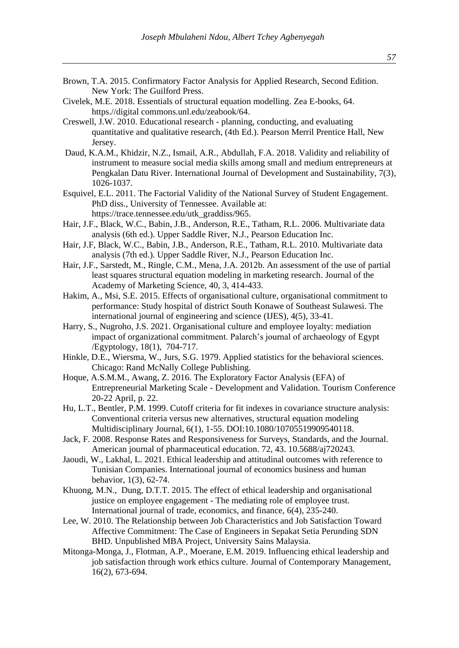- Brown, T.A. 2015. Confirmatory Factor Analysis for Applied Research, Second Edition. New York: The Guilford Press.
- Civelek, M.E. 2018. Essentials of structural equation modelling. Zea E-books, 64. https.//digital commons.unl.edu/zeabook/64.
- Creswell, J.W. 2010. Educational research planning, conducting, and evaluating quantitative and qualitative research, (4th Ed.). Pearson Merril Prentice Hall, New Jersey.
- Daud, K.A.M., Khidzir, N.Z., Ismail, A.R., Abdullah, F.A. 2018. Validity and reliability of instrument to measure social media skills among small and medium entrepreneurs at Pengkalan Datu River. International Journal of Development and Sustainability, 7(3), 1026-1037.
- Esquivel, E.L. 2011. The Factorial Validity of the National Survey of Student Engagement. PhD diss., University of Tennessee. Available at: https://trace.tennessee.edu/utk\_graddiss/965.
- Hair, J.F., Black, W.C., Babin, J.B., Anderson, R.E., Tatham, R.L. 2006. Multivariate data analysis (6th ed.). Upper Saddle River, N.J., Pearson Education Inc.
- Hair, J.F, Black, W.C., Babin, J.B., Anderson, R.E., Tatham, R.L. 2010. Multivariate data analysis (7th ed.). Upper Saddle River, N.J., Pearson Education Inc.
- Hair, J.F., Sarstedt, M., Ringle, C.M., Mena, J.A. 2012b. An assessment of the use of partial least squares structural equation modeling in marketing research. Journal of the Academy of Marketing Science, 40, 3, 414-433.
- Hakim, A., Msi, S.E. 2015. Effects of organisational culture, organisational commitment to performance: Study hospital of district South Konawe of Southeast Sulawesi. The international journal of engineering and science (IJES), 4(5), 33-41.
- Harry, S., Nugroho, J.S. 2021. Organisational culture and employee loyalty: mediation impact of organizational commitment. Palarch's journal of archaeology of Egypt /Egyptology, 18(1), 704-717.
- Hinkle, D.E., Wiersma, W., Jurs, S.G. 1979. Applied statistics for the behavioral sciences. Chicago: Rand McNally College Publishing.
- Hoque, A.S.M.M., Awang, Z. 2016. The Exploratory Factor Analysis (EFA) of Entrepreneurial Marketing Scale - Development and Validation. Tourism Conference 20-22 April, p. 22.
- Hu, L.T., Bentler, P.M. 1999. Cutoff criteria for fit indexes in covariance structure analysis: Conventional criteria versus new alternatives, structural equation modeling Multidisciplinary Journal, 6(1), 1-55. DOI:10.1080/10705519909540118.
- Jack, F. 2008. Response Rates and Responsiveness for Surveys, Standards, and the Journal. American journal of pharmaceutical education. 72, 43. 10.5688/aj720243.
- Jaoudi, W., Lakhal, L. 2021. Ethical leadership and attitudinal outcomes with reference to Tunisian Companies. International journal of economics business and human behavior, 1(3), 62-74.
- Khuong, M.N., Dung, D.T.T. 2015. The effect of ethical leadership and organisational justice on employee engagement - The mediating role of employee trust. International journal of trade, economics, and finance, 6(4), 235-240.
- Lee, W. 2010. The Relationship between Job Characteristics and Job Satisfaction Toward Affective Commitment: The Case of Engineers in Sepakat Setia Perunding SDN BHD. Unpublished MBA Project, University Sains Malaysia.
- Mitonga-Monga, J., Flotman, A.P., Moerane, E.M. 2019. Influencing ethical leadership and job satisfaction through work ethics culture. Journal of Contemporary Management, 16(2), 673-694.